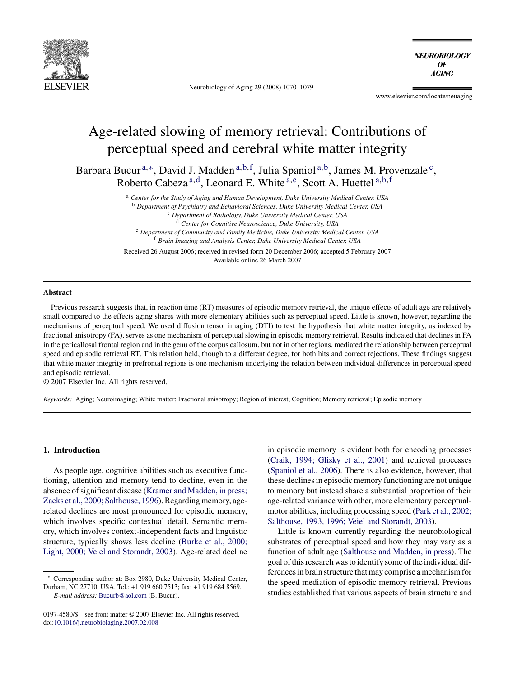

Neurobiology of Aging 29 (2008) 1070–1079

**NEUROBIOLOGY**  $\bm{0}$ F **AGING** 

www.elsevier.com/locate/neuaging

# Age-related slowing of memory retrieval: Contributions of perceptual speed and cerebral white matter integrity

Barbara Bucur<sup>a,∗</sup>, David J. Madden<sup>a,b,f</sup>, Julia Spaniol<sup>a,b</sup>, James M. Provenzale<sup>c</sup>, Roberto Cabeza<sup>a,d</sup>, Leonard E. White<sup>a,e</sup>, Scott A. Huettel<sup>a,b,f</sup>

<sup>a</sup> *Center for the Study of Aging and Human Development, Duke University Medical Center, USA*

<sup>b</sup> *Department of Psychiatry and Behavioral Sciences, Duke University Medical Center, USA* <sup>c</sup> *Department of Radiology, Duke University Medical Center, USA*

<sup>e</sup> *Department of Community and Family Medicine, Duke University Medical Center, USA* <sup>f</sup> *Brain Imaging and Analysis Center, Duke University Medical Center, USA*

Received 26 August 2006; received in revised form 20 December 2006; accepted 5 February 2007 Available online 26 March 2007

#### **Abstract**

Previous research suggests that, in reaction time (RT) measures of episodic memory retrieval, the unique effects of adult age are relatively small compared to the effects aging shares with more elementary abilities such as perceptual speed. Little is known, however, regarding the mechanisms of perceptual speed. We used diffusion tensor imaging (DTI) to test the hypothesis that white matter integrity, as indexed by fractional anisotropy (FA), serves as one mechanism of perceptual slowing in episodic memory retrieval. Results indicated that declines in FA in the pericallosal frontal region and in the genu of the corpus callosum, but not in other regions, mediated the relationship between perceptual speed and episodic retrieval RT. This relation held, though to a different degree, for both hits and correct rejections. These findings suggest that white matter integrity in prefrontal regions is one mechanism underlying the relation between individual differences in perceptual speed and episodic retrieval.

© 2007 Elsevier Inc. All rights reserved.

*Keywords:* Aging; Neuroimaging; White matter; Fractional anisotropy; Region of interest; Cognition; Memory retrieval; Episodic memory

# **1. Introduction**

As people age, cognitive abilities such as executive functioning, attention and memory tend to decline, even in the absence of significant disease ([Kramer and Madden, in press;](#page-8-0) [Zacks et al., 2000; Salthouse, 1996\).](#page-8-0) Regarding memory, agerelated declines are most pronounced for episodic memory, which involves specific contextual detail. Semantic memory, which involves context-independent facts and linguistic structure, typically shows less decline ([Burke et al., 2000;](#page-8-0) [Light, 2000; Veiel and Storandt, 2003\).](#page-8-0) Age-related decline in episodic memory is evident both for encoding processes [\(Craik, 1994; Glisky et al., 2001\)](#page-8-0) and retrieval processes [\(Spaniol et al., 2006\).](#page-8-0) There is also evidence, however, that these declines in episodic memory functioning are not unique to memory but instead share a substantial proportion of their age-related variance with other, more elementary perceptualmotor abilities, including processing speed [\(Park et al., 2002;](#page-8-0) [Salthouse, 1993, 1996; Veiel and Storandt, 2003\).](#page-8-0)

Little is known currently regarding the neurobiological substrates of perceptual speed and how they may vary as a function of adult age [\(Salthouse and Madden, in press\).](#page-8-0) The goal of this research was to identify some of the individual differences in brain structure that may comprise a mechanism for the speed mediation of episodic memory retrieval. Previous studies established that various aspects of brain structure and

<sup>d</sup> *Center for Cognitive Neuroscience, Duke University, USA*

<sup>∗</sup> Corresponding author at: Box 2980, Duke University Medical Center, Durham, NC 27710, USA. Tel.: +1 919 660 7513; fax: +1 919 684 8569. *E-mail address:* [Bucurb@aol.com](mailto:Bucurb@aol.com) (B. Bucur).

<sup>0197-4580/\$ –</sup> see front matter © 2007 Elsevier Inc. All rights reserved. doi[:10.1016/j.neurobiolaging.2007.02.008](dx.doi.org/10.1016/j.neurobiolaging.2007.02.008)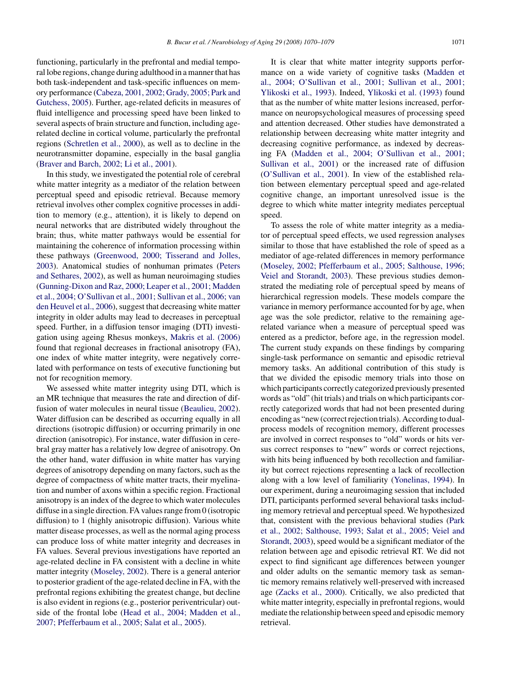functioning, particularly in the prefrontal and medial temporal lobe regions, change during adulthood in a manner that has both task-independent and task-specific influences on memory performance ([Cabeza, 2001, 2002; Grady, 2005; Park and](#page-8-0) [Gutchess, 2005\).](#page-8-0) Further, age-related deficits in measures of fluid intelligence and processing speed have been linked to several aspects of brain structure and function, including agerelated decline in cortical volume, particularly the prefrontal regions [\(Schretlen et al., 2000\),](#page-8-0) as well as to decline in the neurotransmitter dopamine, especially in the basal ganglia ([Braver and Barch, 2002; Li et al., 2001\).](#page-8-0)

In this study, we investigated the potential role of cerebral white matter integrity as a mediator of the relation between perceptual speed and episodic retrieval. Because memory retrieval involves other complex cognitive processes in addition to memory (e.g., attention), it is likely to depend on neural networks that are distributed widely throughout the brain; thus, white matter pathways would be essential for maintaining the coherence of information processing within these pathways [\(Greenwood, 2000; Tisserand and Jolles,](#page-8-0) [2003\).](#page-8-0) Anatomical studies of nonhuman primates [\(Peters](#page-8-0) [and Sethares, 2002\),](#page-8-0) as well as human neuroimaging studies ([Gunning-Dixon and Raz, 2000; Leaper et al., 2001; Madden](#page-8-0) [et al., 2004; O'Sullivan et al., 2001; Sullivan et al., 2006; van](#page-8-0) [den Heuvel et al., 2006\),](#page-8-0) suggest that decreasing white matter integrity in older adults may lead to decreases in perceptual speed. Further, in a diffusion tensor imaging (DTI) investigation using ageing Rhesus monkeys, [Makris et al. \(2006\)](#page-8-0) found that regional decreases in fractional anisotropy (FA), one index of white matter integrity, were negatively correlated with performance on tests of executive functioning but not for recognition memory.

We assessed white matter integrity using DTI, which is an MR technique that measures the rate and direction of diffusion of water molecules in neural tissue [\(Beaulieu, 2002\).](#page-8-0) Water diffusion can be described as occurring equally in all directions (isotropic diffusion) or occurring primarily in one direction (anisotropic). For instance, water diffusion in cerebral gray matter has a relatively low degree of anisotropy. On the other hand, water diffusion in white matter has varying degrees of anisotropy depending on many factors, such as the degree of compactness of white matter tracts, their myelination and number of axons within a specific region. Fractional anisotropy is an index of the degree to which water molecules diffuse in a single direction. FA values range from 0 (isotropic diffusion) to 1 (highly anisotropic diffusion). Various white matter disease processes, as well as the normal aging process can produce loss of white matter integrity and decreases in FA values. Several previous investigations have reported an age-related decline in FA consistent with a decline in white matter integrity [\(Moseley, 2002\).](#page-8-0) There is a general anterior to posterior gradient of the age-related decline in FA, with the prefrontal regions exhibiting the greatest change, but decline is also evident in regions (e.g., posterior periventricular) outside of the frontal lobe ([Head et al., 2004; Madden et al.,](#page-8-0) [2007; Pfefferbaum et al., 2005; Salat et al., 2005\).](#page-8-0)

It is clear that white matter integrity supports performance on a wide variety of cognitive tasks [\(Madden et](#page-8-0) [al., 2004; O'Sullivan et al., 2001; Sullivan et al., 2001;](#page-8-0) [Ylikoski et al., 1993\).](#page-8-0) Indeed, [Ylikoski et al. \(1993\)](#page-9-0) found that as the number of white matter lesions increased, performance on neuropsychological measures of processing speed and attention decreased. Other studies have demonstrated a relationship between decreasing white matter integrity and decreasing cognitive performance, as indexed by decreasing FA [\(Madden et al., 2004; O'Sullivan et al., 2001;](#page-8-0) [Sullivan et al., 2001\)](#page-8-0) or the increased rate of diffusion ([O'Sullivan et al., 2001\).](#page-8-0) In view of the established relation between elementary perceptual speed and age-related cognitive change, an important unresolved issue is the degree to which white matter integrity mediates perceptual speed.

To assess the role of white matter integrity as a mediator of perceptual speed effects, we used regression analyses similar to those that have established the role of speed as a mediator of age-related differences in memory performance ([Moseley, 2002; Pfefferbaum et al., 2005; Salthouse, 1996;](#page-8-0) [Veiel and Storandt, 2003\).](#page-8-0) These previous studies demonstrated the mediating role of perceptual speed by means of hierarchical regression models. These models compare the variance in memory performance accounted for by age, when age was the sole predictor, relative to the remaining agerelated variance when a measure of perceptual speed was entered as a predictor, before age, in the regression model. The current study expands on these findings by comparing single-task performance on semantic and episodic retrieval memory tasks. An additional contribution of this study is that we divided the episodic memory trials into those on which participants correctly categorized previously presented words as "old" (hit trials) and trials on which participants correctly categorized words that had not been presented during encoding as "new (correct rejection trials). According to dualprocess models of recognition memory, different processes are involved in correct responses to "old" words or hits versus correct responses to "new" words or correct rejections, with hits being influenced by both recollection and familiarity but correct rejections representing a lack of recollection along with a low level of familiarity ([Yonelinas, 1994\).](#page-9-0) In our experiment, during a neuroimaging session that included DTI, participants performed several behavioral tasks including memory retrieval and perceptual speed. We hypothesized that, consistent with the previous behavioral studies ([Park](#page-8-0) [et al., 2002; Salthouse, 1993; Salat et al., 2005; Veiel and](#page-8-0) [Storandt, 2003\),](#page-8-0) speed would be a significant mediator of the relation between age and episodic retrieval RT. We did not expect to find significant age differences between younger and older adults on the semantic memory task as semantic memory remains relatively well-preserved with increased age ([Zacks et al., 2000\).](#page-9-0) Critically, we also predicted that white matter integrity, especially in prefrontal regions, would mediate the relationship between speed and episodic memory retrieval.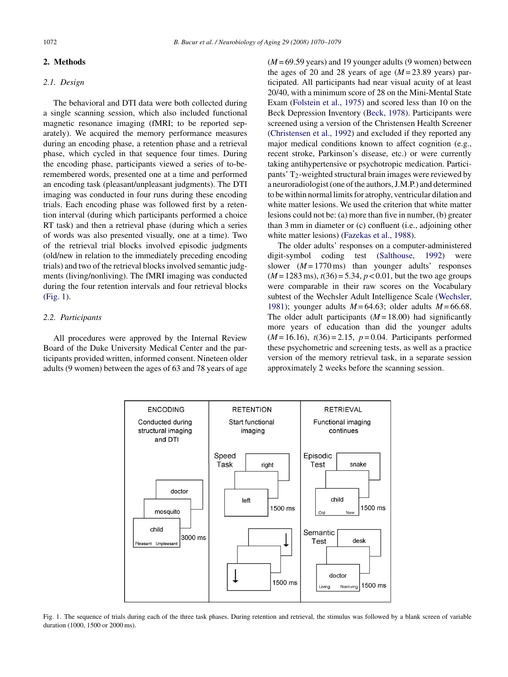# **2. Methods**

## *2.1. Design*

The behavioral and DTI data were both collected during a single scanning session, which also included functional magnetic resonance imaging (fMRI; to be reported separately). We acquired the memory performance measures during an encoding phase, a retention phase and a retrieval phase, which cycled in that sequence four times. During the encoding phase, participants viewed a series of to-beremembered words, presented one at a time and performed an encoding task (pleasant/unpleasant judgments). The DTI imaging was conducted in four runs during these encoding trials. Each encoding phase was followed first by a retention interval (during which participants performed a choice RT task) and then a retrieval phase (during which a series of words was also presented visually, one at a time). Two of the retrieval trial blocks involved episodic judgments (old/new in relation to the immediately preceding encoding trials) and two of the retrieval blocks involved semantic judgments (living/nonliving). The fMRI imaging was conducted during the four retention intervals and four retrieval blocks (Fig. 1).

## *2.2. Participants*

All procedures were approved by the Internal Review Board of the Duke University Medical Center and the participants provided written, informed consent. Nineteen older adults (9 women) between the ages of 63 and 78 years of age  $(M = 69.59$  years) and 19 younger adults (9 women) between the ages of 20 and 28 years of age  $(M=23.89$  years) participated. All participants had near visual acuity of at least 20/40, with a minimum score of 28 on the Mini-Mental State Exam [\(Folstein et al., 1975\)](#page-8-0) and scored less than 10 on the Beck Depression Inventory [\(Beck, 1978\).](#page-8-0) Participants were screened using a version of the Christensen Health Screener [\(Christensen et al., 1992\)](#page-8-0) and excluded if they reported any major medical conditions known to affect cognition (e.g., recent stroke, Parkinson's disease, etc.) or were currently taking antihypertensive or psychotropic medication. Participants'  $T_2$ -weighted structural brain images were reviewed by a neuroradiologist (one of the authors, J.M.P.) and determined to be within normal limits for atrophy, ventricular dilation and white matter lesions. We used the criterion that white matter lesions could not be: (a) more than five in number, (b) greater than 3 mm in diameter or (c) confluent (i.e., adjoining other white matter lesions) [\(Fazekas et al., 1988\).](#page-8-0)

The older adults' responses on a computer-administered digit-symbol coding test [\(Salthouse, 1992\)](#page-8-0) were slower  $(M = 1770 \text{ ms})$  than younger adults' responses  $(M = 1283 \text{ ms})$ ,  $t(36) = 5.34$ ,  $p < 0.01$ , but the two age groups were comparable in their raw scores on the Vocabulary subtest of the Wechsler Adult Intelligence Scale ([Wechsler,](#page-9-0) [1981\);](#page-9-0) younger adults *M* = 64.63; older adults *M* = 66.68. The older adult participants  $(M = 18.00)$  had significantly more years of education than did the younger adults  $(M = 16.16)$ ,  $t(36) = 2.15$ ,  $p = 0.04$ . Participants performed these psychometric and screening tests, as well as a practice version of the memory retrieval task, in a separate session approximately 2 weeks before the scanning session.



Fig. 1. The sequence of trials during each of the three task phases. During retention and retrieval, the stimulus was followed by a blank screen of variable duration (1000, 1500 or 2000 ms).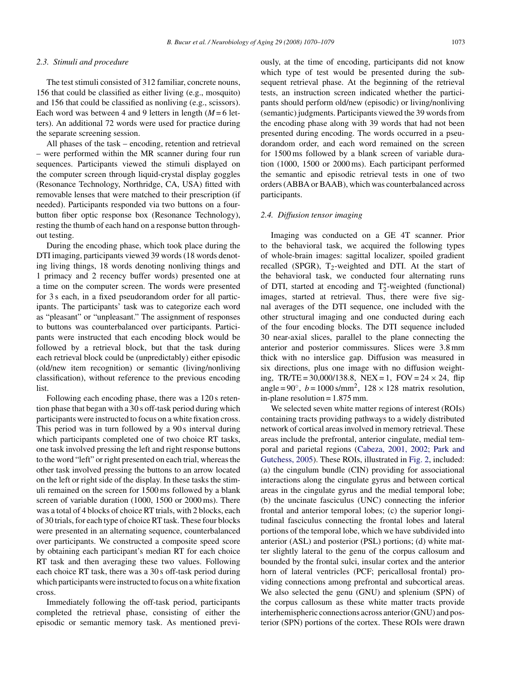#### *2.3. Stimuli and procedure*

The test stimuli consisted of 312 familiar, concrete nouns, 156 that could be classified as either living (e.g., mosquito) and 156 that could be classified as nonliving (e.g., scissors). Each word was between 4 and 9 letters in length  $(M = 6$  letters). An additional 72 words were used for practice during the separate screening session.

All phases of the task – encoding, retention and retrieval – were performed within the MR scanner during four run sequences. Participants viewed the stimuli displayed on the computer screen through liquid-crystal display goggles (Resonance Technology, Northridge, CA, USA) fitted with removable lenses that were matched to their prescription (if needed). Participants responded via two buttons on a fourbutton fiber optic response box (Resonance Technology), resting the thumb of each hand on a response button throughout testing.

During the encoding phase, which took place during the DTI imaging, participants viewed 39 words (18 words denoting living things, 18 words denoting nonliving things and 1 primacy and 2 recency buffer words) presented one at a time on the computer screen. The words were presented for 3 s each, in a fixed pseudorandom order for all participants. The participants' task was to categorize each word as "pleasant" or "unpleasant." The assignment of responses to buttons was counterbalanced over participants. Participants were instructed that each encoding block would be followed by a retrieval block, but that the task during each retrieval block could be (unpredictably) either episodic (old/new item recognition) or semantic (living/nonliving classification), without reference to the previous encoding list.

Following each encoding phase, there was a 120 s retention phase that began with a 30 s off-task period during which participants were instructed to focus on a white fixation cross. This period was in turn followed by a 90s interval during which participants completed one of two choice RT tasks, one task involved pressing the left and right response buttons to the word "left" or right presented on each trial, whereas the other task involved pressing the buttons to an arrow located on the left or right side of the display. In these tasks the stimuli remained on the screen for 1500 ms followed by a blank screen of variable duration (1000, 1500 or 2000 ms). There was a total of 4 blocks of choice RT trials, with 2 blocks, each of 30 trials, for each type of choice RT task. These four blocks were presented in an alternating sequence, counterbalanced over participants. We constructed a composite speed score by obtaining each participant's median RT for each choice RT task and then averaging these two values. Following each choice RT task, there was a 30 s off-task period during which participants were instructed to focus on a white fixation cross.

Immediately following the off-task period, participants completed the retrieval phase, consisting of either the episodic or semantic memory task. As mentioned previously, at the time of encoding, participants did not know which type of test would be presented during the subsequent retrieval phase. At the beginning of the retrieval tests, an instruction screen indicated whether the participants should perform old/new (episodic) or living/nonliving (semantic) judgments. Participants viewed the 39 words from the encoding phase along with 39 words that had not been presented during encoding. The words occurred in a pseudorandom order, and each word remained on the screen for 1500 ms followed by a blank screen of variable duration (1000, 1500 or 2000 ms). Each participant performed the semantic and episodic retrieval tests in one of two orders (ABBA or BAAB), which was counterbalanced across participants.

## *2.4. Diffusion tensor imaging*

Imaging was conducted on a GE 4T scanner. Prior to the behavioral task, we acquired the following types of whole-brain images: sagittal localizer, spoiled gradient recalled (SPGR). T<sub>2</sub>-weighted and DTI. At the start of the behavioral task, we conducted four alternating runs of DTI, started at encoding and  $T_2^*$ -weighted (functional) images, started at retrieval. Thus, there were five signal averages of the DTI sequence, one included with the other structural imaging and one conducted during each of the four encoding blocks. The DTI sequence included 30 near-axial slices, parallel to the plane connecting the anterior and posterior commissures. Slices were 3.8 mm thick with no interslice gap. Diffusion was measured in six directions, plus one image with no diffusion weighting, TR/TE = 30,000/138.8, NEX = 1, FOV =  $24 \times 24$ , flip angle =  $90^\circ$ , *b* = 1000 s/mm<sup>2</sup>, 128 × 128 matrix resolution, in-plane resolution = 1.875 mm.

We selected seven white matter regions of interest (ROIs) containing tracts providing pathways to a widely distributed network of cortical areas involved in memory retrieval. These areas include the prefrontal, anterior cingulate, medial temporal and parietal regions [\(Cabeza, 2001, 2002; Park and](#page-8-0) [Gutchess, 2005\).](#page-8-0) These ROIs, illustrated in [Fig. 2, i](#page-4-0)ncluded: (a) the cingulum bundle (CIN) providing for associational interactions along the cingulate gyrus and between cortical areas in the cingulate gyrus and the medial temporal lobe; (b) the uncinate fasciculus (UNC) connecting the inferior frontal and anterior temporal lobes; (c) the superior longitudinal fasciculus connecting the frontal lobes and lateral portions of the temporal lobe, which we have subdivided into anterior (ASL) and posterior (PSL) portions; (d) white matter slightly lateral to the genu of the corpus callosum and bounded by the frontal sulci, insular cortex and the anterior horn of lateral ventricles (PCF; pericallosal frontal) providing connections among prefrontal and subcortical areas. We also selected the genu (GNU) and splenium (SPN) of the corpus callosum as these white matter tracts provide interhemispheric connections across anterior (GNU) and posterior (SPN) portions of the cortex. These ROIs were drawn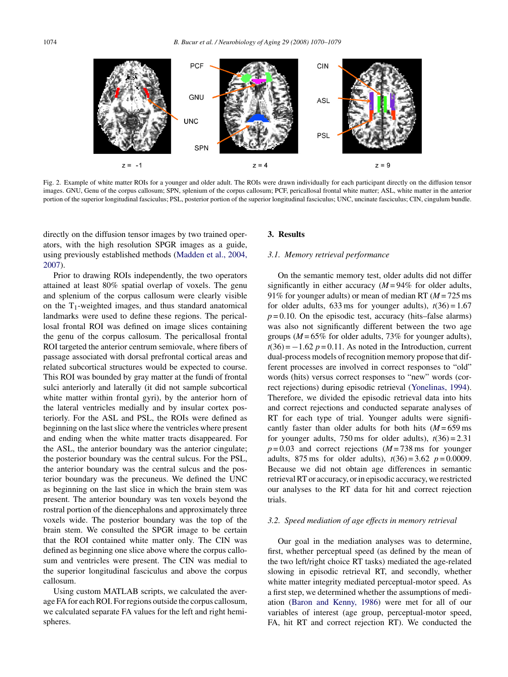<span id="page-4-0"></span>

Fig. 2. Example of white matter ROIs for a younger and older adult. The ROIs were drawn individually for each participant directly on the diffusion tensor images. GNU, Genu of the corpus callosum; SPN, splenium of the corpus callosum; PCF, pericallosal frontal white matter; ASL, white matter in the anterior portion of the superior longitudinal fasciculus; PSL, posterior portion of the superior longitudinal fasciculus; UNC, uncinate fasciculus; CIN, cingulum bundle.

directly on the diffusion tensor images by two trained operators, with the high resolution SPGR images as a guide, using previously established methods ([Madden et al., 2004,](#page-8-0) [2007\).](#page-8-0)

Prior to drawing ROIs independently, the two operators attained at least 80% spatial overlap of voxels. The genu and splenium of the corpus callosum were clearly visible on the  $T_1$ -weighted images, and thus standard anatomical landmarks were used to define these regions. The pericallosal frontal ROI was defined on image slices containing the genu of the corpus callosum. The pericallosal frontal ROI targeted the anterior centrum semiovale, where fibers of passage associated with dorsal prefrontal cortical areas and related subcortical structures would be expected to course. This ROI was bounded by gray matter at the fundi of frontal sulci anteriorly and laterally (it did not sample subcortical white matter within frontal gyri), by the anterior horn of the lateral ventricles medially and by insular cortex posteriorly. For the ASL and PSL, the ROIs were defined as beginning on the last slice where the ventricles where present and ending when the white matter tracts disappeared. For the ASL, the anterior boundary was the anterior cingulate; the posterior boundary was the central sulcus. For the PSL, the anterior boundary was the central sulcus and the posterior boundary was the precuneus. We defined the UNC as beginning on the last slice in which the brain stem was present. The anterior boundary was ten voxels beyond the rostral portion of the diencephalons and approximately three voxels wide. The posterior boundary was the top of the brain stem. We consulted the SPGR image to be certain that the ROI contained white matter only. The CIN was defined as beginning one slice above where the corpus callosum and ventricles were present. The CIN was medial to the superior longitudinal fasciculus and above the corpus callosum.

Using custom MATLAB scripts, we calculated the average FA for each ROI. For regions outside the corpus callosum, we calculated separate FA values for the left and right hemispheres.

## **3. Results**

#### *3.1. Memory retrieval performance*

On the semantic memory test, older adults did not differ significantly in either accuracy  $(M = 94\%$  for older adults, 91% for younger adults) or mean of median RT (*M* = 725 ms for older adults,  $633 \text{ ms}$  for younger adults),  $t(36) = 1.67$  $p = 0.10$ . On the episodic test, accuracy (hits–false alarms) was also not significantly different between the two age groups (*M* = 65% for older adults, 73% for younger adults),  $t(36) = -1.62 p = 0.11$ . As noted in the Introduction, current dual-process models of recognition memory propose that different processes are involved in correct responses to "old" words (hits) versus correct responses to "new" words (correct rejections) during episodic retrieval [\(Yonelinas, 1994\).](#page-9-0) Therefore, we divided the episodic retrieval data into hits and correct rejections and conducted separate analyses of RT for each type of trial. Younger adults were significantly faster than older adults for both hits  $(M = 659 \text{ ms})$ for younger adults,  $750 \text{ ms}$  for older adults),  $t(36) = 2.31$  $p = 0.03$  and correct rejections ( $M = 738$  ms for younger adults, 875 ms for older adults),  $t(36) = 3.62$   $p = 0.0009$ . Because we did not obtain age differences in semantic retrieval RT or accuracy, or in episodic accuracy, we restricted our analyses to the RT data for hit and correct rejection trials.

#### *3.2. Speed mediation of age effects in memory retrieval*

Our goal in the mediation analyses was to determine, first, whether perceptual speed (as defined by the mean of the two left/right choice RT tasks) mediated the age-related slowing in episodic retrieval RT, and secondly, whether white matter integrity mediated perceptual-motor speed. As a first step, we determined whether the assumptions of mediation ([Baron and Kenny, 1986\)](#page-8-0) were met for all of our variables of interest (age group, perceptual-motor speed, FA, hit RT and correct rejection RT). We conducted the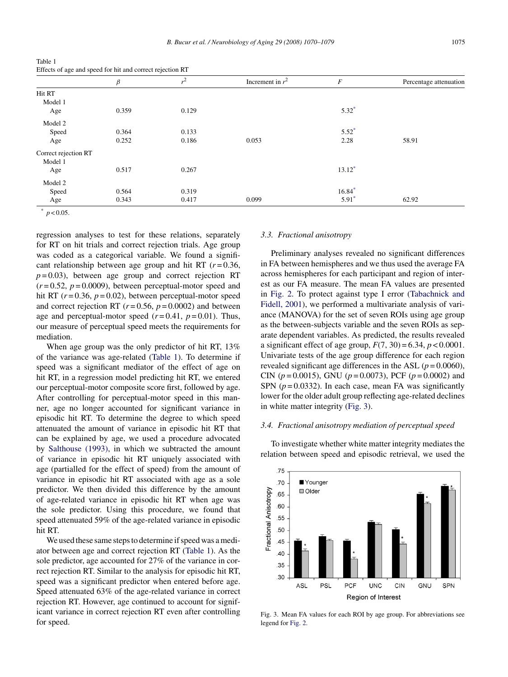Table 1 Effects of age and speed for hit and correct rejection RT

|                      | $\beta$ | r <sup>2</sup> | Increment in $r^2$ | F        | Percentage attenuation |  |
|----------------------|---------|----------------|--------------------|----------|------------------------|--|
| Hit RT               |         |                |                    |          |                        |  |
| Model 1              |         |                |                    |          |                        |  |
| Age                  | 0.359   | 0.129          |                    | $5.32*$  |                        |  |
| Model 2              |         |                |                    |          |                        |  |
| Speed                | 0.364   | 0.133          |                    | $5.52*$  |                        |  |
| Age                  | 0.252   | 0.186          | 0.053              | 2.28     | 58.91                  |  |
| Correct rejection RT |         |                |                    |          |                        |  |
| Model 1              |         |                |                    |          |                        |  |
| Age                  | 0.517   | 0.267          |                    | $13.12*$ |                        |  |
| Model 2              |         |                |                    |          |                        |  |
| Speed                | 0.564   | 0.319          |                    | $16.84*$ |                        |  |
| Age                  | 0.343   | 0.417          | 0.099              | $5.91*$  | 62.92                  |  |

 $*$  *p* < 0.05.

regression analyses to test for these relations, separately for RT on hit trials and correct rejection trials. Age group was coded as a categorical variable. We found a significant relationship between age group and hit RT  $(r=0.36,$  $p = 0.03$ ), between age group and correct rejection RT  $(r=0.52, p=0.0009)$ , between perceptual-motor speed and hit RT  $(r=0.36, p=0.02)$ , between perceptual-motor speed and correct rejection RT  $(r=0.56, p=0.0002)$  and between age and perceptual-motor speed  $(r=0.41, p=0.01)$ . Thus, our measure of perceptual speed meets the requirements for mediation.

When age group was the only predictor of hit RT, 13% of the variance was age-related (Table 1). To determine if speed was a significant mediator of the effect of age on hit RT, in a regression model predicting hit RT, we entered our perceptual-motor composite score first, followed by age. After controlling for perceptual-motor speed in this manner, age no longer accounted for significant variance in episodic hit RT. To determine the degree to which speed attenuated the amount of variance in episodic hit RT that can be explained by age, we used a procedure advocated by [Salthouse \(1993\),](#page-8-0) in which we subtracted the amount of variance in episodic hit RT uniquely associated with age (partialled for the effect of speed) from the amount of variance in episodic hit RT associated with age as a sole predictor. We then divided this difference by the amount of age-related variance in episodic hit RT when age was the sole predictor. Using this procedure, we found that speed attenuated 59% of the age-related variance in episodic hit RT.

We used these same steps to determine if speed was a mediator between age and correct rejection RT (Table 1). As the sole predictor, age accounted for 27% of the variance in correct rejection RT. Similar to the analysis for episodic hit RT, speed was a significant predictor when entered before age. Speed attenuated 63% of the age-related variance in correct rejection RT. However, age continued to account for significant variance in correct rejection RT even after controlling for speed.

# *3.3. Fractional anisotropy*

Preliminary analyses revealed no significant differences in FA between hemispheres and we thus used the average FA across hemispheres for each participant and region of interest as our FA measure. The mean FA values are presented in [Fig. 2.](#page-4-0) To protect against type I error ([Tabachnick and](#page-9-0) [Fidell, 2001\),](#page-9-0) we performed a multivariate analysis of variance (MANOVA) for the set of seven ROIs using age group as the between-subjects variable and the seven ROIs as separate dependent variables. As predicted, the results revealed a significant effect of age group,  $F(7, 30) = 6.34$ ,  $p < 0.0001$ . Univariate tests of the age group difference for each region revealed significant age differences in the ASL  $(p = 0.0060)$ , CIN (*p* = 0.0015), GNU (*p* = 0.0073), PCF (*p* = 0.0002) and SPN  $(p=0.0332)$ . In each case, mean FA was significantly lower for the older adult group reflecting age-related declines in white matter integrity (Fig. 3).

## *3.4. Fractional anisotropy mediation of perceptual speed*

To investigate whether white matter integrity mediates the relation between speed and episodic retrieval, we used the



Fig. 3. Mean FA values for each ROI by age group. For abbreviations see legend for [Fig. 2.](#page-4-0)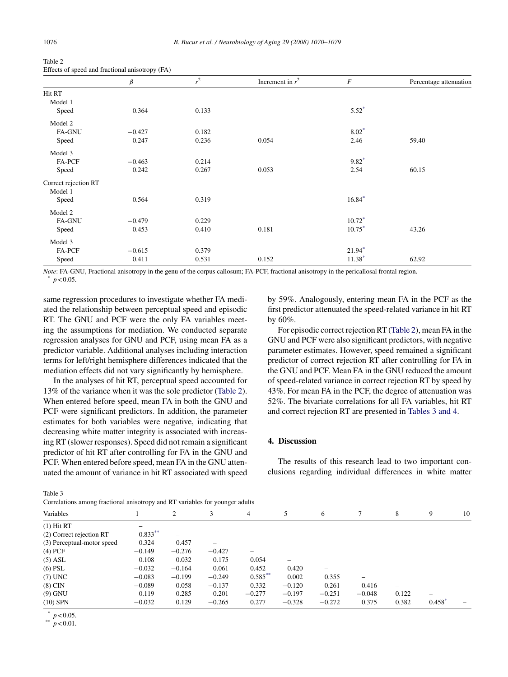| Table 2                                         |  |
|-------------------------------------------------|--|
| Effects of speed and fractional anisotropy (FA) |  |

|                      | $\beta$  | $r^2$ | Increment in $r^2$ | $\boldsymbol{F}$ | Percentage attenuation |
|----------------------|----------|-------|--------------------|------------------|------------------------|
| Hit RT               |          |       |                    |                  |                        |
| Model 1              |          |       |                    |                  |                        |
| Speed                | 0.364    | 0.133 |                    | $5.52*$          |                        |
| Model 2              |          |       |                    |                  |                        |
| <b>FA-GNU</b>        | $-0.427$ | 0.182 |                    | $8.02*$          |                        |
| Speed                | 0.247    | 0.236 | 0.054              | 2.46             | 59.40                  |
| Model 3              |          |       |                    |                  |                        |
| <b>FA-PCF</b>        | $-0.463$ | 0.214 |                    | $9.82*$          |                        |
| Speed                | 0.242    | 0.267 | 0.053              | 2.54             | 60.15                  |
| Correct rejection RT |          |       |                    |                  |                        |
| Model 1              |          |       |                    |                  |                        |
| Speed                | 0.564    | 0.319 |                    | $16.84*$         |                        |
| Model 2              |          |       |                    |                  |                        |
| FA-GNU               | $-0.479$ | 0.229 |                    | $10.72*$         |                        |
| Speed                | 0.453    | 0.410 | 0.181              | $10.75*$         | 43.26                  |
| Model 3              |          |       |                    |                  |                        |
| <b>FA-PCF</b>        | $-0.615$ | 0.379 |                    | $21.94*$         |                        |
| Speed                | 0.411    | 0.531 | 0.152              | $11.38*$         | 62.92                  |

*Note*: FA-GNU, Fractional anisotropy in the genu of the corpus callosum; FA-PCF, fractional anisotropy in the pericallosal frontal region.  $p < 0.05$ .

same regression procedures to investigate whether FA mediated the relationship between perceptual speed and episodic RT. The GNU and PCF were the only FA variables meeting the assumptions for mediation. We conducted separate regression analyses for GNU and PCF, using mean FA as a predictor variable. Additional analyses including interaction terms for left/right hemisphere differences indicated that the mediation effects did not vary significantly by hemisphere.

In the analyses of hit RT, perceptual speed accounted for 13% of the variance when it was the sole predictor (Table 2). When entered before speed, mean FA in both the GNU and PCF were significant predictors. In addition, the parameter estimates for both variables were negative, indicating that decreasing white matter integrity is associated with increasing RT (slower responses). Speed did not remain a significant predictor of hit RT after controlling for FA in the GNU and PCF. When entered before speed, mean FA in the GNU attenuated the amount of variance in hit RT associated with speed

by 59%. Analogously, entering mean FA in the PCF as the first predictor attenuated the speed-related variance in hit RT by 60%.

For episodic correct rejection RT (Table 2), mean FA in the GNU and PCF were also significant predictors, with negative parameter estimates. However, speed remained a significant predictor of correct rejection RT after controlling for FA in the GNU and PCF. Mean FA in the GNU reduced the amount of speed-related variance in correct rejection RT by speed by 43%. For mean FA in the PCF, the degree of attenuation was 52%. The bivariate correlations for all FA variables, hit RT and correct rejection RT are presented in Tables 3 and 4.

# **4. Discussion**

The results of this research lead to two important conclusions regarding individual differences in white matter

Table 3

| Correlations among fractional anisotropy and RT variables for younger adults |  |  |  |
|------------------------------------------------------------------------------|--|--|--|
|                                                                              |  |  |  |

| Correlations among fractional anisotropy and RT variables for younger adults |            |                             |          |                 |          |          |          |                   |                      |    |
|------------------------------------------------------------------------------|------------|-----------------------------|----------|-----------------|----------|----------|----------|-------------------|----------------------|----|
| Variables                                                                    |            | $\mathcal{D}_{\mathcal{L}}$ |          | 4               |          | 6        |          | 8                 | 9                    | 10 |
| $(1)$ Hit RT                                                                 |            |                             |          |                 |          |          |          |                   |                      |    |
| (2) Correct rejection RT                                                     | $0.833***$ |                             |          |                 |          |          |          |                   |                      |    |
| (3) Perceptual-motor speed                                                   | 0.324      | 0.457                       |          |                 |          |          |          |                   |                      |    |
| (4) PCF                                                                      | $-0.149$   | $-0.276$                    | $-0.427$ | $\qquad \qquad$ |          |          |          |                   |                      |    |
| $(5)$ ASL                                                                    | 0.108      | 0.032                       | 0.175    | 0.054           |          |          |          |                   |                      |    |
| (6) PSL                                                                      | $-0.032$   | $-0.164$                    | 0.061    | 0.452           | 0.420    |          |          |                   |                      |    |
| (7) UNC                                                                      | $-0.083$   | $-0.199$                    | $-0.249$ | $0.585***$      | 0.002    | 0.355    |          |                   |                      |    |
| (8) CIN                                                                      | $-0.089$   | 0.058                       | $-0.137$ | 0.332           | $-0.120$ | 0.261    | 0.416    | $\qquad \qquad -$ |                      |    |
| (9) GNU                                                                      | 0.119      | 0.285                       | 0.201    | $-0.277$        | $-0.197$ | $-0.251$ | $-0.048$ | 0.122             |                      |    |
| $(10)$ SPN                                                                   | $-0.032$   | 0.129                       | $-0.265$ | 0.277           | $-0.328$ | $-0.272$ | 0.375    | 0.382             | $0.458$ <sup>*</sup> |    |

 $p < 0.05$ .

 $p < 0.01$ .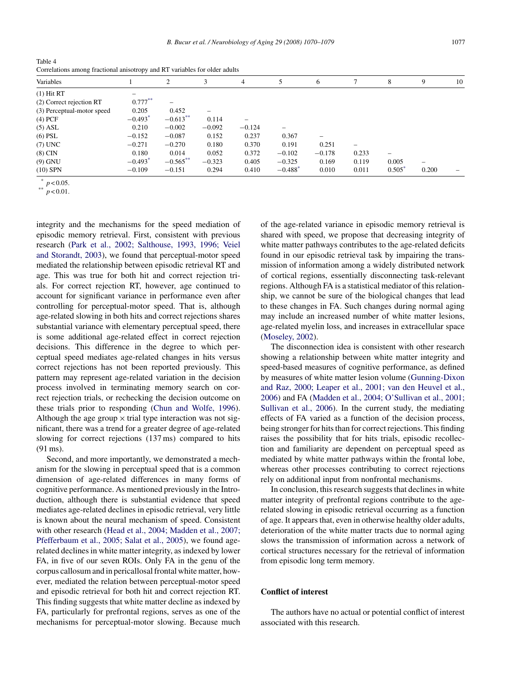*B. Bucur et al. / Neurobiology of Aging 29 (2008) 1070–1079* 1077

Table 4 Correlations among fractional anisotropy and RT variables for older adults

| Variables                  |            | 2           | 3        | $\overline{4}$ | 5                        | 6        |       | 8        | 9     | 10 |
|----------------------------|------------|-------------|----------|----------------|--------------------------|----------|-------|----------|-------|----|
| $(1)$ Hit RT               |            |             |          |                |                          |          |       |          |       |    |
| (2) Correct rejection RT   | $0.777***$ |             |          |                |                          |          |       |          |       |    |
| (3) Perceptual-motor speed | 0.205      | 0.452       |          |                |                          |          |       |          |       |    |
| $(4)$ PCF                  | $-0.493*$  | $-0.613***$ | 0.114    |                |                          |          |       |          |       |    |
| $(5)$ ASL                  | 0.210      | $-0.002$    | $-0.092$ | $-0.124$       | $\overline{\phantom{0}}$ |          |       |          |       |    |
| $(6)$ PSL                  | $-0.152$   | $-0.087$    | 0.152    | 0.237          | 0.367                    | -        |       |          |       |    |
| $(7)$ UNC                  | $-0.271$   | $-0.270$    | 0.180    | 0.370          | 0.191                    | 0.251    | -     |          |       |    |
| $(8)$ CIN                  | 0.180      | 0.014       | 0.052    | 0.372          | $-0.102$                 | $-0.178$ | 0.233 |          |       |    |
| $(9)$ GNU                  | $-0.493*$  | $-0.565***$ | $-0.323$ | 0.405          | $-0.325$                 | 0.169    | 0.119 | 0.005    |       |    |
| $(10)$ SPN                 | $-0.109$   | $-0.151$    | 0.294    | 0.410          | $-0.488*$                | 0.010    | 0.011 | $0.505*$ | 0.200 |    |

 $p < 0.05$ .

 $p < 0.01$ .

integrity and the mechanisms for the speed mediation of episodic memory retrieval. First, consistent with previous research ([Park et al., 2002; Salthouse, 1993, 1996; Veiel](#page-8-0) [and Storandt, 2003\),](#page-8-0) we found that perceptual-motor speed mediated the relationship between episodic retrieval RT and age. This was true for both hit and correct rejection trials. For correct rejection RT, however, age continued to account for significant variance in performance even after controlling for perceptual-motor speed. That is, although age-related slowing in both hits and correct rejections shares substantial variance with elementary perceptual speed, there is some additional age-related effect in correct rejection decisions. This difference in the degree to which perceptual speed mediates age-related changes in hits versus correct rejections has not been reported previously. This pattern may represent age-related variation in the decision process involved in terminating memory search on correct rejection trials, or rechecking the decision outcome on these trials prior to responding [\(Chun and Wolfe, 1996\).](#page-8-0) Although the age group  $\times$  trial type interaction was not significant, there was a trend for a greater degree of age-related slowing for correct rejections (137 ms) compared to hits (91 ms).

Second, and more importantly, we demonstrated a mechanism for the slowing in perceptual speed that is a common dimension of age-related differences in many forms of cognitive performance. As mentioned previously in the Introduction, although there is substantial evidence that speed mediates age-related declines in episodic retrieval, very little is known about the neural mechanism of speed. Consistent with other research [\(Head et al., 2004; Madden et al., 2007;](#page-8-0) [Pfefferbaum et al., 2005; Salat et al., 2005\),](#page-8-0) we found agerelated declines in white matter integrity, as indexed by lower FA, in five of our seven ROIs. Only FA in the genu of the corpus callosum and in pericallosal frontal white matter, however, mediated the relation between perceptual-motor speed and episodic retrieval for both hit and correct rejection RT. This finding suggests that white matter decline as indexed by FA, particularly for prefrontal regions, serves as one of the mechanisms for perceptual-motor slowing. Because much

of the age-related variance in episodic memory retrieval is shared with speed, we propose that decreasing integrity of white matter pathways contributes to the age-related deficits found in our episodic retrieval task by impairing the transmission of information among a widely distributed network of cortical regions, essentially disconnecting task-relevant regions. Although FA is a statistical mediator of this relationship, we cannot be sure of the biological changes that lead to these changes in FA. Such changes during normal aging may include an increased number of white matter lesions, age-related myelin loss, and increases in extracellular space ([Moseley, 2002\).](#page-8-0)

The disconnection idea is consistent with other research showing a relationship between white matter integrity and speed-based measures of cognitive performance, as defined by measures of white matter lesion volume ([Gunning-Dixon](#page-8-0) [and Raz, 2000; Leaper et al., 2001; van den Heuvel et al.,](#page-8-0) [2006\)](#page-8-0) and FA [\(Madden et al., 2004; O'Sullivan et al., 2001;](#page-8-0) [Sullivan et al., 2006\).](#page-8-0) In the current study, the mediating effects of FA varied as a function of the decision process, being stronger for hits than for correct rejections. This finding raises the possibility that for hits trials, episodic recollection and familiarity are dependent on perceptual speed as mediated by white matter pathways within the frontal lobe, whereas other processes contributing to correct rejections rely on additional input from nonfrontal mechanisms.

In conclusion, this research suggests that declines in white matter integrity of prefrontal regions contribute to the agerelated slowing in episodic retrieval occurring as a function of age. It appears that, even in otherwise healthy older adults, deterioration of the white matter tracts due to normal aging slows the transmission of information across a network of cortical structures necessary for the retrieval of information from episodic long term memory.

# **Conflict of interest**

The authors have no actual or potential conflict of interest associated with this research.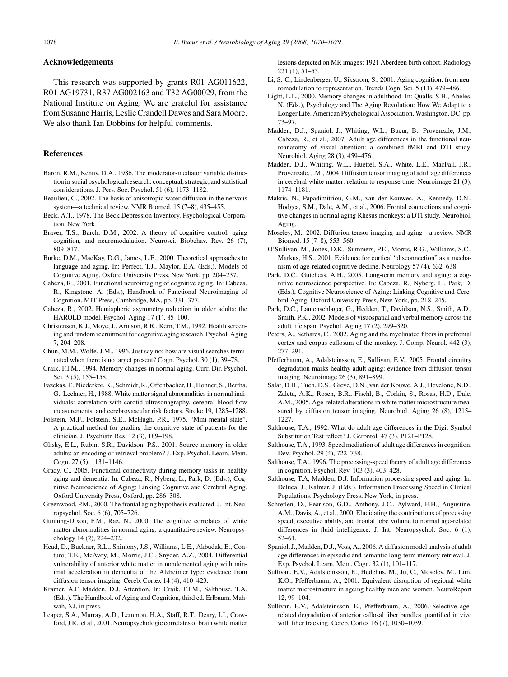## <span id="page-8-0"></span>**Acknowledgements**

This research was supported by grants R01 AG011622, R01 AG19731, R37 AG002163 and T32 AG00029, from the National Institute on Aging. We are grateful for assistance from Susanne Harris, Leslie Crandell Dawes and Sara Moore. We also thank Ian Dobbins for helpful comments.

# **References**

- Baron, R.M., Kenny, D.A., 1986. The moderator-mediator variable distinction in social psychological research: conceptual, strategic, and statistical considerations. J. Pers. Soc. Psychol. 51 (6), 1173–1182.
- Beaulieu, C., 2002. The basis of anisotropic water diffusion in the nervous system—a technical review. NMR Biomed. 15 (7–8), 435–455.
- Beck, A.T., 1978. The Beck Depression Inventory. Psychological Corporation, New York.
- Braver, T.S., Barch, D.M., 2002. A theory of cognitive control, aging cognition, and neuromodulation. Neurosci. Biobehav. Rev. 26 (7), 809–817.
- Burke, D.M., MacKay, D.G., James, L.E., 2000. Theoretical approaches to language and aging. In: Perfect, T.J., Maylor, E.A. (Eds.), Models of Cognitive Aging. Oxford University Press, New York, pp. 204–237.
- Cabeza, R., 2001. Functional neuroimaging of cognitive aging. In: Cabeza, R., Kingstone, A. (Eds.), Handbook of Functional Neuroimaging of Cognition. MIT Press, Cambridge, MA, pp. 331–377.
- Cabeza, R., 2002. Hemispheric asymmetry reduction in older adults: the HAROLD model. Psychol. Aging 17 (1), 85–100.
- Christensen, K.J., Moye, J., Armson, R.R., Kern, T.M., 1992. Health screening and random recruitment for cognitive aging research. Psychol. Aging 7, 204–208.
- Chun, M.M., Wolfe, J.M., 1996. Just say no: how are visual searches terminated when there is no target present? Cogn. Psychol. 30 (1), 39–78.
- Craik, F.I.M., 1994. Memory changes in normal aging. Curr. Dir. Psychol. Sci. 3 (5), 155–158.
- Fazekas, F., Niederkor, K., Schmidt, R., Offenbacher, H., Honner, S., Bertha, G., Lechner, H., 1988. White matter signal abnormalities in normal individuals: correlation with carotid ultrasonagraphy, cerebral blood flow measurements, and cerebrovascular risk factors. Stroke 19, 1285–1288.
- Folstein, M.F., Folstein, S.E., McHugh, P.R., 1975. "Mini-mental state". A practical method for grading the cognitive state of patients for the clinician. J. Psychiatr. Res. 12 (3), 189–198.
- Glisky, E.L., Rubin, S.R., Davidson, P.S., 2001. Source memory in older adults: an encoding or retrieval problem? J. Exp. Psychol. Learn. Mem. Cogn. 27 (5), 1131–1146.
- Grady, C., 2005. Functional connectivity during memory tasks in healthy aging and dementia. In: Cabeza, R., Nyberg, L., Park, D. (Eds.), Cognitive Neuroscience of Aging: Linking Cognitive and Cerebral Aging. Oxford University Press, Oxford, pp. 286–308.
- Greenwood, P.M., 2000. The frontal aging hypothesis evaluated. J. Int. Neuropsychol. Soc. 6 (6), 705–726.
- Gunning-Dixon, F.M., Raz, N., 2000. The cognitive correlates of white matter abnormalities in normal aging: a quantitative review. Neuropsychology 14 (2), 224–232.
- Head, D., Buckner, R.L., Shimony, J.S., Williams, L.E., Akbudak, E., Conturo, T.E., McAvoy, M., Morris, J.C., Snyder, A.Z., 2004. Differential vulnerability of anterior white matter in nondemented aging with minimal acceleration in dementia of the Alzheimer type: evidence from diffusion tensor imaging. Cereb. Cortex 14 (4), 410–423.
- Kramer, A.F, Madden, D.J. Attention. In: Craik, F.I.M., Salthouse, T.A. (Eds.). The Handbook of Aging and Cognition, third ed. Erlbaum, Mahwah, NJ, in press.
- Leaper, S.A., Murray, A.D., Lemmon, H.A., Staff, R.T., Deary, I.J., Crawford, J.R., et al., 2001. Neuropsychologic correlates of brain white matter

lesions depicted on MR images: 1921 Aberdeen birth cohort. Radiology 221 (1), 51–55.

- Li, S.-C., Lindenberger, U., Sikstrom, S., 2001. Aging cognition: from neuromodulation to representation. Trends Cogn. Sci. 5 (11), 479–486.
- Light, L.L., 2000. Memory changes in adulthood. In: Qualls, S.H., Abeles, N. (Eds.), Psychology and The Aging Revolution: How We Adapt to a Longer Life. American Psychological Association, Washington, DC, pp. 73–97.
- Madden, D.J., Spaniol, J., Whiting, W.L., Bucur, B., Provenzale, J.M., Cabeza, R., et al., 2007. Adult age differences in the functional neuroanatomy of visual attention: a combined fMRI and DTI study. Neurobiol. Aging 28 (3), 459–476.
- Madden, D.J., Whiting, W.L., Huettel, S.A., White, L.E., MacFall, J.R., Provenzale, J.M., 2004. Diffusion tensor imaging of adult age differences in cerebral white matter: relation to response time. Neuroimage 21 (3), 1174–1181.
- Makris, N., Papadimitriou, G.M., van der Kouwec, A., Kennedy, D.N., Hodgea, S.M., Dale, A.M., et al., 2006. Frontal connections and cognitive changes in normal aging Rhesus monkeys: a DTI study. Neurobiol. Aging.
- Moseley, M., 2002. Diffusion tensor imaging and aging—a review. NMR Biomed. 15 (7–8), 553–560.
- O'Sullivan, M., Jones, D.K., Summers, P.E., Morris, R.G., Williams, S.C., Markus, H.S., 2001. Evidence for cortical "disconnection" as a mechanism of age-related cognitive decline. Neurology 57 (4), 632–638.
- Park, D.C., Gutchess, A.H., 2005. Long-term memory and aging: a cognitive neuroscience perspective. In: Cabeza, R., Nyberg, L., Park, D. (Eds.), Cognitive Neuroscience of Aging: Linking Cognitive and Cerebral Aging. Oxford University Press, New York, pp. 218–245.
- Park, D.C., Lautenschlager, G., Hedden, T., Davidson, N.S., Smith, A.D., Smith, P.K., 2002. Models of visuospatial and verbal memory across the adult life span. Psychol. Aging 17 (2), 299–320.
- Peters, A., Sethares, C., 2002. Aging and the myelinated fibers in prefrontal cortex and corpus callosum of the monkey. J. Comp. Neurol. 442 (3), 277–291.
- Pfefferbaum, A., Adalsteinsson, E., Sullivan, E.V., 2005. Frontal circuitry degradation marks healthy adult aging: evidence from diffusion tensor imaging. Neuroimage 26 (3), 891–899.
- Salat, D.H., Tuch, D.S., Greve, D.N., van der Kouwe, A.J., Hevelone, N.D., Zaleta, A.K., Rosen, B.R., Fischl, B., Corkin, S., Rosas, H.D., Dale, A.M., 2005. Age-related alterations in white matter microstructure measured by diffusion tensor imaging. Neurobiol. Aging 26 (8), 1215– 1227.
- Salthouse, T.A., 1992. What do adult age differences in the Digit Symbol Substitution Test reflect? J. Gerontol. 47 (3), P121–P128.
- Salthouse, T.A., 1993. Speed mediation of adult age differences in cognition. Dev. Psychol. 29 (4), 722–738.
- Salthouse, T.A., 1996. The processing-speed theory of adult age differences in cognition. Psychol. Rev. 103 (3), 403–428.
- Salthouse, T.A, Madden, D.J. Information processing speed and aging. In: Deluca, J., Kalmar, J. (Eds.). Information Processing Speed in Clinical Populations. Psychology Press, New York, in press.
- Schretlen, D., Pearlson, G.D., Anthony, J.C., Aylward, E.H., Augustine, A.M., Davis, A., et al., 2000. Elucidating the contributions of processing speed, executive ability, and frontal lobe volume to normal age-related differences in fluid intelligence. J. Int. Neuropsychol. Soc. 6 (1), 52–61.
- Spaniol, J., Madden, D.J., Voss, A., 2006. A diffusion model analysis of adult age differences in episodic and semantic long-term memory retrieval. J. Exp. Psychol. Learn. Mem. Cogn. 32 (1), 101–117.
- Sullivan, E.V., Adalsteinsson, E., Hedehus, M., Ju, C., Moseley, M., Lim, K.O., Pfefferbaum, A., 2001. Equivalent disruption of regional white matter microstructure in ageing healthy men and women. NeuroReport 12, 99–104.
- Sullivan, E.V., Adalsteinsson, E., Pfefferbaum, A., 2006. Selective agerelated degradation of anterior callosal fiber bundles quantified in vivo with fiber tracking. Cereb. Cortex 16 (7), 1030–1039.